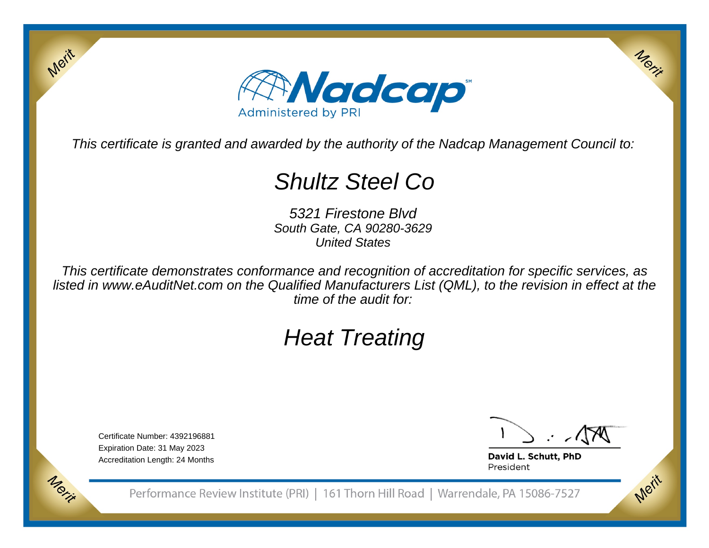

This certificate is granted and awarded by the authority of the Nadcap Management Council to:

# Shultz Steel Co

5321 Firestone Blvd South Gate, CA 90280-3629United States

This certificate demonstrates conformance and recognition of accreditation for specific services, as listed in www.eAuditNet.com on the Qualified Manufacturers List (QML), to the revision in effect at thetime of the audit for:

# Heat Treating

Certificate Number: 4392196881Expiration Date: 31 May 2023Accreditation Length: 24 Months

Merit

Merit

Merit

Merit

David L. Schutt, PhD President

Performance Review Institute (PRI) | 161 Thorn Hill Road | Warrendale, PA 15086-7527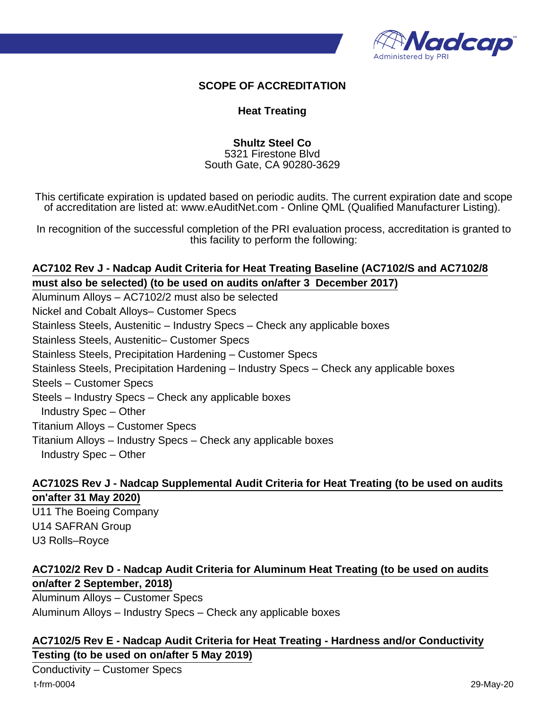

#### **SCOPE OF ACCREDITATION**

#### **Heat Treating**

**Shultz Steel Co** 5321 Firestone Blvd South Gate, CA 90280-3629

This certificate expiration is updated based on periodic audits. The current expiration date and scope of accreditation are listed at: www.eAuditNet.com - Online QML (Qualified Manufacturer Listing).

In recognition of the successful completion of the PRI evaluation process, accreditation is granted to this facility to perform the following:

## **AC7102 Rev J - Nadcap Audit Criteria for Heat Treating Baseline (AC7102/S and AC7102/8 must also be selected) (to be used on audits on/after 3 December 2017)**

Aluminum Alloys – AC7102/2 must also be selected Nickel and Cobalt Alloys– Customer Specs Stainless Steels, Austenitic – Industry Specs – Check any applicable boxes Stainless Steels, Austenitic– Customer Specs Stainless Steels, Precipitation Hardening – Customer Specs Stainless Steels, Precipitation Hardening – Industry Specs – Check any applicable boxes Steels – Customer Specs Steels – Industry Specs – Check any applicable boxes Industry Spec – Other Titanium Alloys – Customer Specs Titanium Alloys – Industry Specs – Check any applicable boxes Industry Spec – Other

## **AC7102S Rev J - Nadcap Supplemental Audit Criteria for Heat Treating (to be used on audits on'after 31 May 2020)**

U11 The Boeing Company U14 SAFRAN Group U3 Rolls–Royce

# **AC7102/2 Rev D - Nadcap Audit Criteria for Aluminum Heat Treating (to be used on audits on/after 2 September, 2018)**

Aluminum Alloys – Customer Specs Aluminum Alloys – Industry Specs – Check any applicable boxes

## **AC7102/5 Rev E - Nadcap Audit Criteria for Heat Treating - Hardness and/or Conductivity Testing (to be used on on/after 5 May 2019)**

Conductivity – Customer Specs t-frm-0004 29-May-20